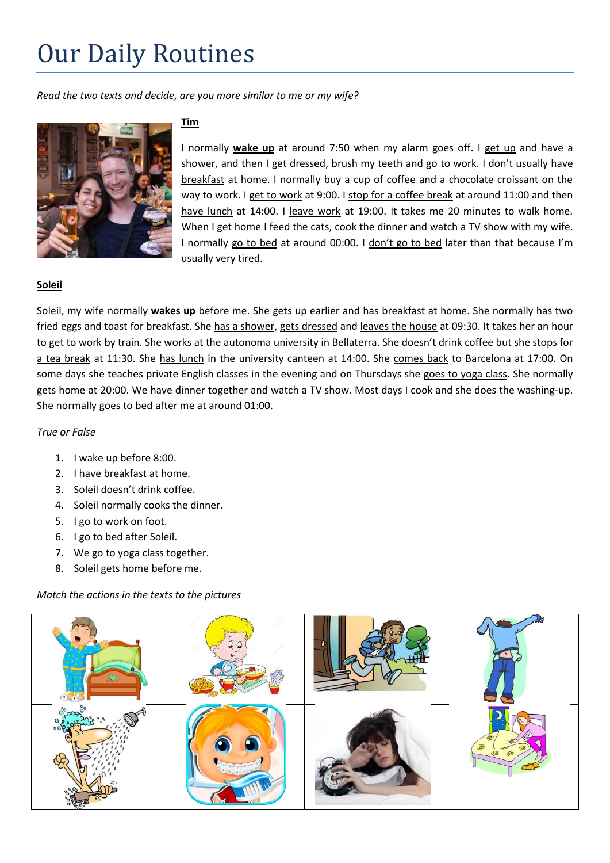# Our Daily Routines

*Read the two texts and decide, are you more similar to me or my wife?*



# **Tim**

I normally **wake up** at around 7:50 when my alarm goes off. I get up and have a shower, and then I get dressed, brush my teeth and go to work. I don't usually have breakfast at home. I normally buy a cup of coffee and a chocolate croissant on the way to work. I get to work at 9:00. I stop for a coffee break at around 11:00 and then have lunch at 14:00. I leave work at 19:00. It takes me 20 minutes to walk home. When I get home I feed the cats, cook the dinner and watch a TV show with my wife. I normally go to bed at around 00:00. I don't go to bed later than that because I'm usually very tired.

## **Soleil**

Soleil, my wife normally **wakes up** before me. She gets up earlier and has breakfast at home. She normally has two fried eggs and toast for breakfast. She has a shower, gets dressed and leaves the house at 09:30. It takes her an hour to get to work by train. She works at the autonoma university in Bellaterra. She doesn't drink coffee but she stops for a tea break at 11:30. She has lunch in the university canteen at 14:00. She comes back to Barcelona at 17:00. On some days she teaches private English classes in the evening and on Thursdays she goes to yoga class. She normally gets home at 20:00. We have dinner together and watch a TV show. Most days I cook and she does the washing-up. She normally goes to bed after me at around 01:00.

#### *True or False*

- 1. I wake up before 8:00.
- 2. I have breakfast at home.
- 3. Soleil doesn't drink coffee.
- 4. Soleil normally cooks the dinner.
- 5. I go to work on foot.
- 6. I go to bed after Soleil.
- 7. We go to yoga class together.
- 8. Soleil gets home before me.

#### *Match the actions in the texts to the pictures*